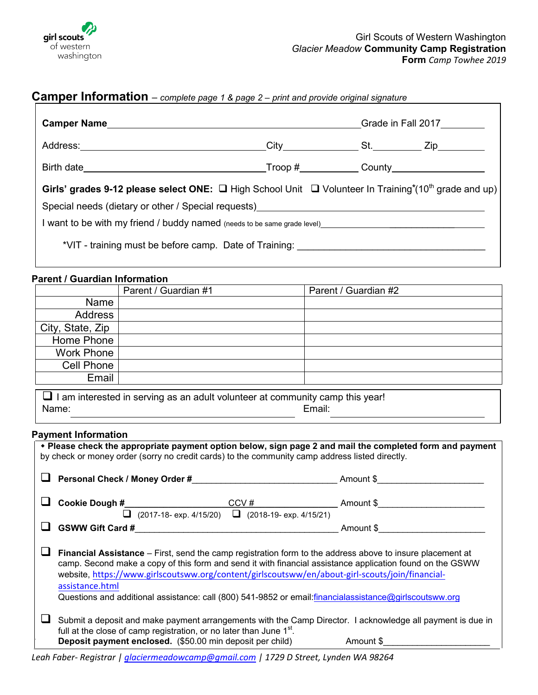

## **Camper Information** – *complete page 1 & page 2 – print and provide original signature*

|                                                                                                                                                                                                                               |  | Grade in Fall 2017 |  |  |
|-------------------------------------------------------------------------------------------------------------------------------------------------------------------------------------------------------------------------------|--|--------------------|--|--|
|                                                                                                                                                                                                                               |  |                    |  |  |
|                                                                                                                                                                                                                               |  |                    |  |  |
| Girls' grades 9-12 please select ONE: $\Box$ High School Unit $\Box$ Volunteer In Training*(10 <sup>th</sup> grade and up)                                                                                                    |  |                    |  |  |
| Special needs (dietary or other / Special requests)<br>Special needs (dietary or other / Special requests)<br>Special needs (dietary or other / Special requests)                                                             |  |                    |  |  |
| I want to be with my friend / buddy named (needs to be same grade level)____________________________                                                                                                                          |  |                    |  |  |
| *VIT - training must be before camp. Date of Training: University of the manuscription of the term of the term of the term of the term of the term of the term of the term of the term of the term of the term of the term of |  |                    |  |  |

### **Parent / Guardian Information**

|                  | Parent / Guardian #1 | Parent / Guardian #2 |
|------------------|----------------------|----------------------|
| Name             |                      |                      |
| Address          |                      |                      |
| City, State, Zip |                      |                      |
| Home Phone       |                      |                      |
| Work Phone       |                      |                      |
| Cell Phone       |                      |                      |
| Email            |                      |                      |
|                  |                      |                      |

 $\Box$  I am interested in serving as an adult volunteer at community camp this year! Name: Email:

## **Payment Information**

| • Please check the appropriate payment option below, sign page 2 and mail the completed form and payment<br>by check or money order (sorry no credit cards) to the community camp address listed directly.                                                                                                                                                                                                                                                    |                                                                                                                                                                                                                                                            |           |  |  |  |
|---------------------------------------------------------------------------------------------------------------------------------------------------------------------------------------------------------------------------------------------------------------------------------------------------------------------------------------------------------------------------------------------------------------------------------------------------------------|------------------------------------------------------------------------------------------------------------------------------------------------------------------------------------------------------------------------------------------------------------|-----------|--|--|--|
|                                                                                                                                                                                                                                                                                                                                                                                                                                                               |                                                                                                                                                                                                                                                            | Amount \$ |  |  |  |
|                                                                                                                                                                                                                                                                                                                                                                                                                                                               |                                                                                                                                                                                                                                                            |           |  |  |  |
|                                                                                                                                                                                                                                                                                                                                                                                                                                                               | $(2017-18 - exp. 4/15/20)$ $\Box$ $(2018-19 - exp. 4/15/21)$<br>u.                                                                                                                                                                                         |           |  |  |  |
|                                                                                                                                                                                                                                                                                                                                                                                                                                                               | <b>GSWW Gift Card #</b><br>the control of the control of the control of the control of the control of the control of                                                                                                                                       | Amount \$ |  |  |  |
| <b>Financial Assistance</b> – First, send the camp registration form to the address above to insure placement at<br>camp. Second make a copy of this form and send it with financial assistance application found on the GSWW<br>website, https://www.girlscoutsww.org/content/girlscoutsww/en/about-girl-scouts/join/financial-<br>assistance.html<br>Questions and additional assistance: call (800) 541-9852 or email:financialassistance@girlscoutsww.org |                                                                                                                                                                                                                                                            |           |  |  |  |
|                                                                                                                                                                                                                                                                                                                                                                                                                                                               | Submit a deposit and make payment arrangements with the Camp Director. I acknowledge all payment is due in<br>full at the close of camp registration, or no later than June 1 <sup>st</sup> .<br>Deposit payment enclosed. (\$50.00 min deposit per child) | Amount \$ |  |  |  |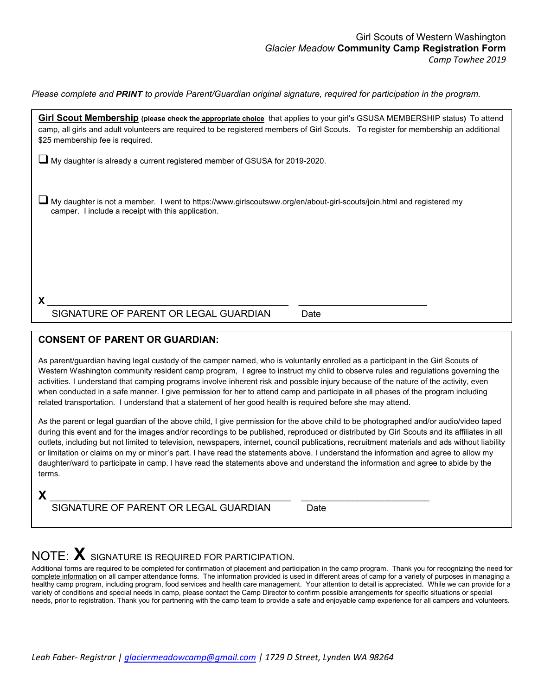*Please complete and PRINT to provide Parent/Guardian original signature, required for participation in the program.*

| Girl Scout Membership (please check the appropriate choice that applies to your girl's GSUSA MEMBERSHIP status) To attend<br>camp, all girls and adult volunteers are required to be registered members of Girl Scouts. To register for membership an additional<br>\$25 membership fee is required. |
|------------------------------------------------------------------------------------------------------------------------------------------------------------------------------------------------------------------------------------------------------------------------------------------------------|
| My daughter is already a current registered member of GSUSA for 2019-2020.                                                                                                                                                                                                                           |
| My daughter is not a member. I went to https://www.girlscoutsww.org/en/about-girl-scouts/join.html and registered my<br>camper. I include a receipt with this application.                                                                                                                           |
|                                                                                                                                                                                                                                                                                                      |

SIGNATURE OF PARENT OR LEGAL GUARDIAN Date

## **CONSENT OF PARENT OR GUARDIAN:**

As parent/guardian having legal custody of the camper named, who is voluntarily enrolled as a participant in the Girl Scouts of Western Washington community resident camp program, I agree to instruct my child to observe rules and regulations governing the activities. I understand that camping programs involve inherent risk and possible injury because of the nature of the activity, even when conducted in a safe manner. I give permission for her to attend camp and participate in all phases of the program including related transportation. I understand that a statement of her good health is required before she may attend.

As the parent or legal guardian of the above child, I give permission for the above child to be photographed and/or audio/video taped during this event and for the images and/or recordings to be published, reproduced or distributed by Girl Scouts and its affiliates in all outlets, including but not limited to television, newspapers, internet, council publications, recruitment materials and ads without liability or limitation or claims on my or minor's part. I have read the statements above. I understand the information and agree to allow my daughter/ward to participate in camp. I have read the statements above and understand the information and agree to abide by the terms.

**X** \_\_\_\_\_\_\_\_\_\_\_\_\_\_\_\_\_\_\_\_\_\_\_\_\_\_\_\_\_\_\_\_\_\_\_\_\_\_\_\_\_\_\_\_\_\_\_ \_\_\_\_\_\_\_\_\_\_\_\_\_\_\_\_\_\_\_\_\_\_\_\_\_ SIGNATURE OF PARENT OR LEGAL GUARDIAN Date

# NOTE: **X** SIGNATURE IS REQUIRED FOR PARTICIPATION.

Additional forms are required to be completed for confirmation of placement and participation in the camp program. Thank you for recognizing the need for complete information on all camper attendance forms. The information provided is used in different areas of camp for a variety of purposes in managing a healthy camp program, including program, food services and health care management. Your attention to detail is appreciated. While we can provide for a variety of conditions and special needs in camp, please contact the Camp Director to confirm possible arrangements for specific situations or special needs, prior to registration. Thank you for partnering with the camp team to provide a safe and enjoyable camp experience for all campers and volunteers.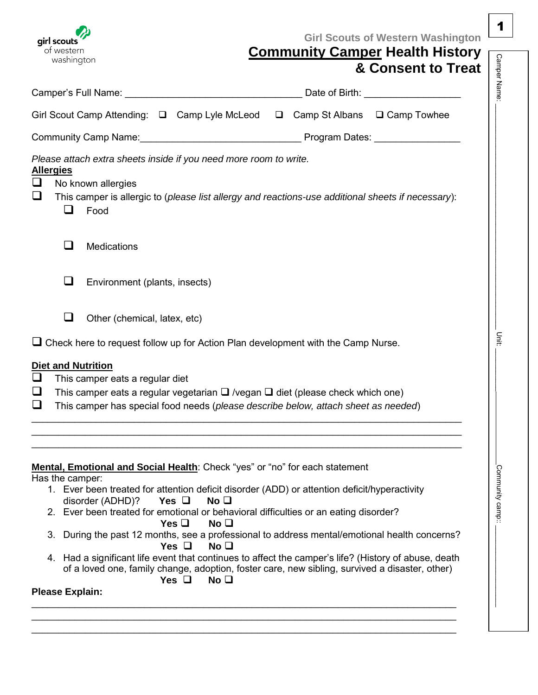| W<br>girl scouts |
|------------------|
| of western       |
| washington       |

# **Girl Scouts of Western Washington**

1

| <b>Community Camper Health History</b> |  |  |
|----------------------------------------|--|--|
|                                        |  |  |

| OI WESTEITI<br>washington                          |                                 |                                                      |                                                                          |                                                                                                                                                                                                                                                                     | Community Camper Health History                                                                                                                                                                                                                                                                      |
|----------------------------------------------------|---------------------------------|------------------------------------------------------|--------------------------------------------------------------------------|---------------------------------------------------------------------------------------------------------------------------------------------------------------------------------------------------------------------------------------------------------------------|------------------------------------------------------------------------------------------------------------------------------------------------------------------------------------------------------------------------------------------------------------------------------------------------------|
|                                                    |                                 |                                                      |                                                                          |                                                                                                                                                                                                                                                                     | & Consent to Treat                                                                                                                                                                                                                                                                                   |
|                                                    |                                 |                                                      |                                                                          |                                                                                                                                                                                                                                                                     |                                                                                                                                                                                                                                                                                                      |
|                                                    |                                 |                                                      |                                                                          |                                                                                                                                                                                                                                                                     | Girl Scout Camp Attending: □ Camp Lyle McLeod □ Camp St Albans □ Camp Towhee                                                                                                                                                                                                                         |
|                                                    |                                 |                                                      |                                                                          |                                                                                                                                                                                                                                                                     | Community Camp Name: <u>Community</u> Program Dates: 2008. [1994] Nates: 2008. [1994] Nates: 2008. [1994] Community Camp                                                                                                                                                                             |
| <b>Allergies</b><br>$\Box$<br>❏<br>$\Box$          | No known allergies<br>Food      |                                                      | Please attach extra sheets inside if you need more room to write.        |                                                                                                                                                                                                                                                                     | This camper is allergic to (please list allergy and reactions-use additional sheets if necessary):                                                                                                                                                                                                   |
| ⊔                                                  | Medications                     |                                                      |                                                                          |                                                                                                                                                                                                                                                                     |                                                                                                                                                                                                                                                                                                      |
| ⊔                                                  | Environment (plants, insects)   |                                                      |                                                                          |                                                                                                                                                                                                                                                                     |                                                                                                                                                                                                                                                                                                      |
| ப                                                  | Other (chemical, latex, etc)    |                                                      |                                                                          |                                                                                                                                                                                                                                                                     |                                                                                                                                                                                                                                                                                                      |
|                                                    |                                 |                                                      |                                                                          | $\Box$ Check here to request follow up for Action Plan development with the Camp Nurse.                                                                                                                                                                             |                                                                                                                                                                                                                                                                                                      |
| <b>Diet and Nutrition</b><br>$\Box$<br>$\Box$<br>❏ | This camper eats a regular diet |                                                      |                                                                          | This camper eats a regular vegetarian $\Box$ /vegan $\Box$ diet (please check which one)<br>This camper has special food needs (please describe below, attach sheet as needed)                                                                                      |                                                                                                                                                                                                                                                                                                      |
| Has the camper:<br>3.<br><b>Please Explain:</b>    | disorder (ADHD)?                | Yes $\Box$<br>Yes $\Box$<br>Yes $\Box$<br>Yes $\Box$ | No <sub>1</sub><br>No <sub>1</sub><br>No <sub>1</sub><br>No <sub>1</sub> | Mental, Emotional and Social Health: Check "yes" or "no" for each statement<br>1. Ever been treated for attention deficit disorder (ADD) or attention deficit/hyperactivity<br>2. Ever been treated for emotional or behavioral difficulties or an eating disorder? | During the past 12 months, see a professional to address mental/emotional health concerns?<br>4. Had a significant life event that continues to affect the camper's life? (History of abuse, death<br>of a loved one, family change, adoption, foster care, new sibling, survived a disaster, other) |
|                                                    |                                 |                                                      |                                                                          |                                                                                                                                                                                                                                                                     |                                                                                                                                                                                                                                                                                                      |

 $\_$  ,  $\_$  ,  $\_$  ,  $\_$  ,  $\_$  ,  $\_$  ,  $\_$  ,  $\_$  ,  $\_$  ,  $\_$  ,  $\_$  ,  $\_$  ,  $\_$  ,  $\_$  ,  $\_$  ,  $\_$  ,  $\_$  ,  $\_$  ,  $\_$  ,  $\_$  ,  $\_$  ,  $\_$  ,  $\_$  ,  $\_$  ,  $\_$  ,  $\_$  ,  $\_$  ,  $\_$  ,  $\_$  ,  $\_$  ,  $\_$  ,  $\_$  ,  $\_$  ,  $\_$  ,  $\_$  ,  $\_$  ,  $\_$  ,  $\_$  ,  $\_$  ,  $\_$  ,  $\_$  ,  $\_$  ,  $\_$  ,  $\_$  ,  $\_$  ,  $\_$  ,  $\_$  ,  $\_$  ,  $\_$  ,  $\_$  ,  $\_$  ,  $\_$  ,  $\_$  ,  $\_$  ,  $\_$  ,  $\_$  ,  $\_$  ,  $\_$  ,  $\_$  ,  $\_$  ,  $\_$  ,  $\_$  ,  $\_$  ,  $\_$  ,  $\_$  ,  $\_$  ,  $\_$  ,  $\_$  ,  $\_$  ,  $\_$  ,  $\_$  ,  $\_$  ,  $\_$  ,  $\_$  ,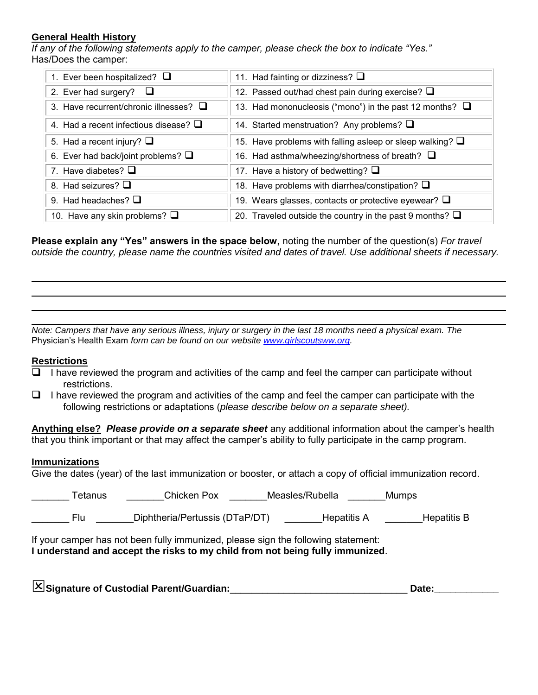## **General Health History**

*If any of the following statements apply to the camper, please check the box to indicate "Yes."* Has/Does the camper:

| 1. Ever been hospitalized? $\Box$           | 11. Had fainting or dizziness? $\Box$                             |
|---------------------------------------------|-------------------------------------------------------------------|
| 2. Ever had surgery?                        | 12. Passed out/had chest pain during exercise? Q                  |
| 3. Have recurrent/chronic illnesses? $\Box$ | 13. Had mononucleosis ("mono") in the past 12 months? $\Box$      |
| 4. Had a recent infectious disease? $\Box$  | 14. Started menstruation? Any problems? $\Box$                    |
| 5. Had a recent injury? $\Box$              | 15. Have problems with falling asleep or sleep walking? $\square$ |
| 6. Ever had back/joint problems? $\square$  | 16. Had asthma/wheezing/shortness of breath? $\Box$               |
| 7. Have diabetes? $\Box$                    | 17. Have a history of bedwetting? $\square$                       |
| 8. Had seizures? $\Box$                     | 18. Have problems with diarrhea/constipation? Q                   |
| 9. Had headaches? $\Box$                    | 19. Wears glasses, contacts or protective eyewear? $\square$      |
| 10. Have any skin problems? $\Box$          | 20. Traveled outside the country in the past 9 months? $\Box$     |

**Please explain any "Yes" answers in the space below,** noting the number of the question(s) *For travel outside the country, please name the countries visited and dates of travel. Use additional sheets if necessary.* 

*Note: Campers that have any serious illness, injury or surgery in the last 18 months need a physical exam. The*  Physician's Health Exam *form can be found on our website [www.girlscoutsww.org.](http://www.girlscoutsww.org/)*

## **Restrictions**

- $\Box$  I have reviewed the program and activities of the camp and feel the camper can participate without restrictions.
- $\Box$  I have reviewed the program and activities of the camp and feel the camper can participate with the following restrictions or adaptations (*please describe below on a separate sheet).*

**Anything else?** *Please provide on a separate sheet* any additional information about the camper's health that you think important or that may affect the camper's ability to fully participate in the camp program.

## **Immunizations**

Give the dates (year) of the last immunization or booster, or attach a copy of official immunization record.

| Tetanus | Chicken Pox                    | Measles/Rubella | <b>Mumps</b> |
|---------|--------------------------------|-----------------|--------------|
| Flu     | Diphtheria/Pertussis (DTaP/DT) | Hepatitis A     | Hepatitis B  |

If your camper has not been fully immunized, please sign the following statement: **I understand and accept the risks to my child from not being fully immunized**.

| Signature of Custodial Parent/Guardian: | Date: |
|-----------------------------------------|-------|
|                                         |       |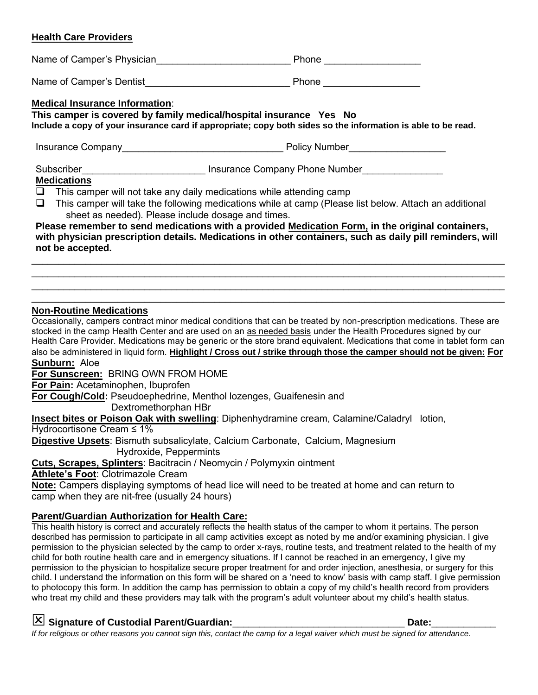## **Health Care Providers**

| <b>Medical Insurance Information:</b><br>This camper is covered by family medical/hospital insurance Yes No<br>Include a copy of your insurance card if appropriate; copy both sides so the information is able to be read.                                                                                                                                                                                                                                                                                  |  |  |  |  |
|--------------------------------------------------------------------------------------------------------------------------------------------------------------------------------------------------------------------------------------------------------------------------------------------------------------------------------------------------------------------------------------------------------------------------------------------------------------------------------------------------------------|--|--|--|--|
|                                                                                                                                                                                                                                                                                                                                                                                                                                                                                                              |  |  |  |  |
| <b>Medications</b><br>$\Box$ This camper will not take any daily medications while attending camp<br>$\Box$ This camper will take the following medications while at camp (Please list below. Attach an additional<br>sheet as needed). Please include dosage and times.<br>Please remember to send medications with a provided Medication Form, in the original containers,<br>with physician prescription details. Medications in other containers, such as daily pill reminders, will<br>not be accepted. |  |  |  |  |

## **Non-Routine Medications**

Occasionally, campers contract minor medical conditions that can be treated by non-prescription medications. These are stocked in the camp Health Center and are used on an as needed basis under the Health Procedures signed by our Health Care Provider. Medications may be generic or the store brand equivalent. Medications that come in tablet form can also be administered in liquid form. **Highlight / Cross out / strike through those the camper should not be given: For Sunburn:** Aloe

 $\_$  , and the set of the set of the set of the set of the set of the set of the set of the set of the set of the set of the set of the set of the set of the set of the set of the set of the set of the set of the set of th

**For Sunscreen:** BRING OWN FROM HOME

**For Pain:** Acetaminophen, Ibuprofen

**For Cough/Cold:** Pseudoephedrine, Menthol lozenges, Guaifenesin and

Dextromethorphan HBr

**Insect bites or Poison Oak with swelling**: Diphenhydramine cream, Calamine/Caladryl lotion,

Hydrocortisone Cream ≤ 1%

**Digestive Upsets**: Bismuth subsalicylate, Calcium Carbonate, Calcium, Magnesium Hydroxide, Peppermints

**Cuts, Scrapes, Splinters**: Bacitracin / Neomycin / Polymyxin ointment

**Athlete's Foot**: Clotrimazole Cream

**Note:** Campers displaying symptoms of head lice will need to be treated at home and can return to camp when they are nit-free (usually 24 hours)

## **Parent/Guardian Authorization for Health Care:**

This health history is correct and accurately reflects the health status of the camper to whom it pertains. The person described has permission to participate in all camp activities except as noted by me and/or examining physician. I give permission to the physician selected by the camp to order x-rays, routine tests, and treatment related to the health of my child for both routine health care and in emergency situations. If I cannot be reached in an emergency, I give my permission to the physician to hospitalize secure proper treatment for and order injection, anesthesia, or surgery for this child. I understand the information on this form will be shared on a 'need to know' basis with camp staff. I give permission to photocopy this form. In addition the camp has permission to obtain a copy of my child's health record from providers who treat my child and these providers may talk with the program's adult volunteer about my child's health status.

## **Signature of Custodial Parent/Guardian:**\_\_\_\_\_\_\_\_\_\_\_\_\_\_\_\_\_\_\_\_\_\_\_\_\_\_\_\_\_\_\_\_ **Date:**\_\_\_\_\_\_\_\_\_\_\_\_

*If for religious or other reasons you cannot sign this, contact the camp for a legal waiver which must be signed for attendance.*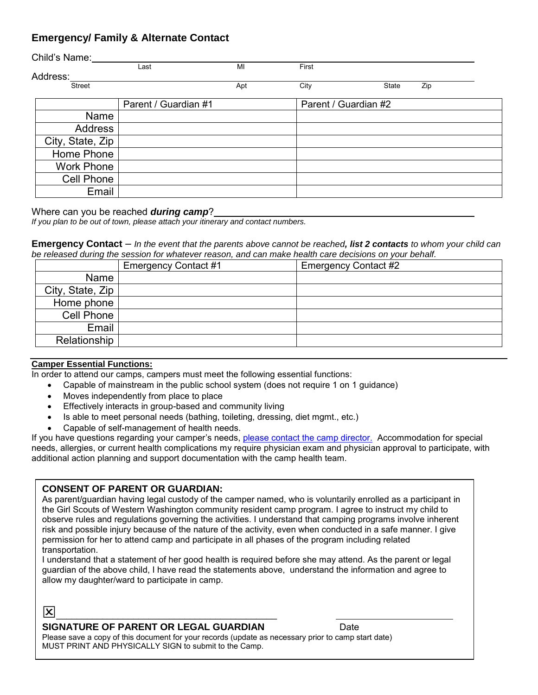## **Emergency/ Family & Alternate Contact**

| Child's Name:     |                      |     |                      |       |     |
|-------------------|----------------------|-----|----------------------|-------|-----|
|                   | Last                 | MI  | First                |       |     |
| Address:          |                      |     |                      |       |     |
| <b>Street</b>     |                      | Apt | City                 | State | Zip |
|                   | Parent / Guardian #1 |     | Parent / Guardian #2 |       |     |
| Name              |                      |     |                      |       |     |
| <b>Address</b>    |                      |     |                      |       |     |
| City, State, Zip  |                      |     |                      |       |     |
| Home Phone        |                      |     |                      |       |     |
| <b>Work Phone</b> |                      |     |                      |       |     |
| Cell Phone        |                      |     |                      |       |     |
| Email             |                      |     |                      |       |     |

### Where can you be reached *during camp*?

*If you plan to be out of town, please attach your itinerary and contact numbers.*

### **Emergency Contact** *– In the event that the parents above cannot be reached, list 2 contacts to whom your child can be released during the session for whatever reason, and can make health care decisions on your behalf.*

|                  | Emergency Contact #1 | Emergency Contact #2 |
|------------------|----------------------|----------------------|
| Name             |                      |                      |
| City, State, Zip |                      |                      |
| Home phone       |                      |                      |
| Cell Phone       |                      |                      |
| Email            |                      |                      |
| Relationship     |                      |                      |

## **Camper Essential Functions:**

In order to attend our camps, campers must meet the following essential functions:

- Capable of mainstream in the public school system (does not require 1 on 1 guidance)
	- Moves independently from place to place
	- Effectively interacts in group-based and community living
	- Is able to meet personal needs (bathing, toileting, dressing, diet mgmt., etc.)
	- Capable of self-management of health needs.

If you have questions regarding your camper's needs, please contact the camp director. Accommodation for special needs, allergies, or current health complications my require physician exam and physician approval to participate, with additional action planning and support documentation with the camp health team.

## **CONSENT OF PARENT OR GUARDIAN:**

As parent/guardian having legal custody of the camper named, who is voluntarily enrolled as a participant in the Girl Scouts of Western Washington community resident camp program. I agree to instruct my child to observe rules and regulations governing the activities. I understand that camping programs involve inherent risk and possible injury because of the nature of the activity, even when conducted in a safe manner. I give permission for her to attend camp and participate in all phases of the program including related transportation.

I understand that a statement of her good health is required before she may attend. As the parent or legal guardian of the above child, I have read the statements above, understand the information and agree to allow my daughter/ward to participate in camp.

## \_\_\_\_\_\_\_\_\_\_\_\_\_\_\_\_\_\_\_\_\_\_\_\_\_\_\_\_\_\_\_\_\_\_\_\_\_\_\_\_\_\_\_

## **SIGNATURE OF PARENT OR LEGAL GUARDIAN** Date

Please save a copy of this document for your records (update as necessary prior to camp start date) MUST PRINT AND PHYSICALLY SIGN to submit to the Camp.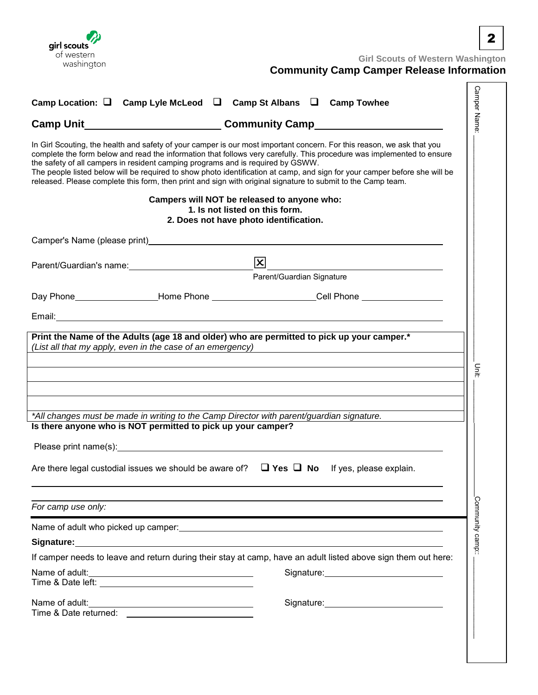

**Girl Scouts of Western Washington** 

# **Community Camp Camper Release Information**

| Camp Location: $\Box$ Camp Lyle McLeod $\Box$ Camp St Albans $\Box$ Camp Towhee<br>Camp Unit________________________________Community Camp_________________________<br>In Girl Scouting, the health and safety of your camper is our most important concern. For this reason, we ask that you<br>complete the form below and read the information that follows very carefully. This procedure was implemented to ensure<br>the safety of all campers in resident camping programs and is required by GSWW.<br>The people listed below will be required to show photo identification at camp, and sign for your camper before she will be<br>released. Please complete this form, then print and sign with original signature to submit to the Camp team.<br>Campers will NOT be released to anyone who:<br>1. Is not listed on this form.<br>2. Does not have photo identification.<br>Camper's Name (please print) example and the control of the control of the control of the control of the control of the control of the control of the control of the control of the control of the control of the control of t<br>$\boxed{\mathbf{X}}$<br>Parent/Guardian Signature<br>Day Phone_____________________Home Phone ___________________________Cell Phone ____________________<br><u> 1989 - Johann Harry Harry Harry Harry Harry Harry Harry Harry Harry Harry Harry Harry Harry Harry Harry Harry</u><br>*All changes must be made in writing to the Camp Director with parent/guardian signature. |  |
|---------------------------------------------------------------------------------------------------------------------------------------------------------------------------------------------------------------------------------------------------------------------------------------------------------------------------------------------------------------------------------------------------------------------------------------------------------------------------------------------------------------------------------------------------------------------------------------------------------------------------------------------------------------------------------------------------------------------------------------------------------------------------------------------------------------------------------------------------------------------------------------------------------------------------------------------------------------------------------------------------------------------------------------------------------------------------------------------------------------------------------------------------------------------------------------------------------------------------------------------------------------------------------------------------------------------------------------------------------------------------------------------------------------------------------------------------------------------------------------------------------|--|
|                                                                                                                                                                                                                                                                                                                                                                                                                                                                                                                                                                                                                                                                                                                                                                                                                                                                                                                                                                                                                                                                                                                                                                                                                                                                                                                                                                                                                                                                                                         |  |
|                                                                                                                                                                                                                                                                                                                                                                                                                                                                                                                                                                                                                                                                                                                                                                                                                                                                                                                                                                                                                                                                                                                                                                                                                                                                                                                                                                                                                                                                                                         |  |
|                                                                                                                                                                                                                                                                                                                                                                                                                                                                                                                                                                                                                                                                                                                                                                                                                                                                                                                                                                                                                                                                                                                                                                                                                                                                                                                                                                                                                                                                                                         |  |
|                                                                                                                                                                                                                                                                                                                                                                                                                                                                                                                                                                                                                                                                                                                                                                                                                                                                                                                                                                                                                                                                                                                                                                                                                                                                                                                                                                                                                                                                                                         |  |
|                                                                                                                                                                                                                                                                                                                                                                                                                                                                                                                                                                                                                                                                                                                                                                                                                                                                                                                                                                                                                                                                                                                                                                                                                                                                                                                                                                                                                                                                                                         |  |
|                                                                                                                                                                                                                                                                                                                                                                                                                                                                                                                                                                                                                                                                                                                                                                                                                                                                                                                                                                                                                                                                                                                                                                                                                                                                                                                                                                                                                                                                                                         |  |
|                                                                                                                                                                                                                                                                                                                                                                                                                                                                                                                                                                                                                                                                                                                                                                                                                                                                                                                                                                                                                                                                                                                                                                                                                                                                                                                                                                                                                                                                                                         |  |
| Print the Name of the Adults (age 18 and older) who are permitted to pick up your camper.*<br>(List all that my apply, even in the case of an emergency)                                                                                                                                                                                                                                                                                                                                                                                                                                                                                                                                                                                                                                                                                                                                                                                                                                                                                                                                                                                                                                                                                                                                                                                                                                                                                                                                                |  |
|                                                                                                                                                                                                                                                                                                                                                                                                                                                                                                                                                                                                                                                                                                                                                                                                                                                                                                                                                                                                                                                                                                                                                                                                                                                                                                                                                                                                                                                                                                         |  |
| Is there anyone who is NOT permitted to pick up your camper?<br>Please print name(s): example and a series of the series of the series of the series of the series of the series of the series of the series of the series of the series of the series of the series of the series of the seri                                                                                                                                                                                                                                                                                                                                                                                                                                                                                                                                                                                                                                                                                                                                                                                                                                                                                                                                                                                                                                                                                                                                                                                                          |  |
| Are there legal custodial issues we should be aware of? $\Box$ Yes $\Box$ No If yes, please explain.                                                                                                                                                                                                                                                                                                                                                                                                                                                                                                                                                                                                                                                                                                                                                                                                                                                                                                                                                                                                                                                                                                                                                                                                                                                                                                                                                                                                    |  |
| For camp use only:                                                                                                                                                                                                                                                                                                                                                                                                                                                                                                                                                                                                                                                                                                                                                                                                                                                                                                                                                                                                                                                                                                                                                                                                                                                                                                                                                                                                                                                                                      |  |
|                                                                                                                                                                                                                                                                                                                                                                                                                                                                                                                                                                                                                                                                                                                                                                                                                                                                                                                                                                                                                                                                                                                                                                                                                                                                                                                                                                                                                                                                                                         |  |
| Signature: <u>Contract Communications</u> Contract Communications and Communications Communications Communications Comm                                                                                                                                                                                                                                                                                                                                                                                                                                                                                                                                                                                                                                                                                                                                                                                                                                                                                                                                                                                                                                                                                                                                                                                                                                                                                                                                                                                 |  |
| If camper needs to leave and return during their stay at camp, have an adult listed above sign them out here:                                                                                                                                                                                                                                                                                                                                                                                                                                                                                                                                                                                                                                                                                                                                                                                                                                                                                                                                                                                                                                                                                                                                                                                                                                                                                                                                                                                           |  |
| Name of adult:<br>Signature: <u>Contained</u><br>Time & Date left: The Society of the Society of the Society of the Society of the Society of the Society of the Society of the Society of the Society of the Society of the Society of the Society of the Society of the Socie                                                                                                                                                                                                                                                                                                                                                                                                                                                                                                                                                                                                                                                                                                                                                                                                                                                                                                                                                                                                                                                                                                                                                                                                                         |  |
| Name of adult:<br><u> 1989 - Johann Barn, fransk politik (d. 1989)</u><br>Time & Date returned: <u>_______________</u>                                                                                                                                                                                                                                                                                                                                                                                                                                                                                                                                                                                                                                                                                                                                                                                                                                                                                                                                                                                                                                                                                                                                                                                                                                                                                                                                                                                  |  |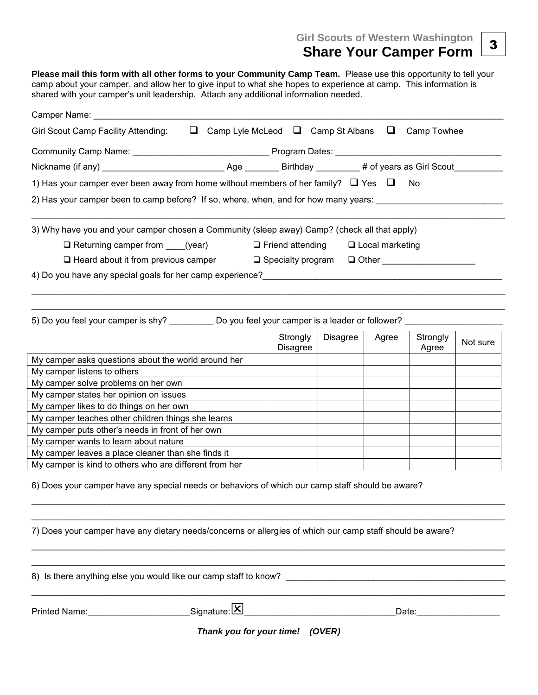**Girl Scouts of Western Washington** 

## **Share Your Camper Form**

**Please mail this form with all other forms to your Community Camp Team.** Please use this opportunity to tell your camp about your camper, and allow her to give input to what she hopes to experience at camp. This information is shared with your camper's unit leadership. Attach any additional information needed.

| Camper Name: __________________                                                                                                              |                      |          |       |                   |          |  |
|----------------------------------------------------------------------------------------------------------------------------------------------|----------------------|----------|-------|-------------------|----------|--|
| $\Box$ Camp Lyle McLeod $\Box$ Camp St Albans $\Box$ Camp Towhee<br>Girl Scout Camp Facility Attending:                                      |                      |          |       |                   |          |  |
|                                                                                                                                              |                      |          |       |                   |          |  |
|                                                                                                                                              |                      |          |       |                   |          |  |
| 1) Has your camper ever been away from home without members of her family? $\Box$ Yes $\Box$                                                 |                      |          |       | No                |          |  |
| 2) Has your camper been to camp before? If so, where, when, and for how many years:                                                          |                      |          |       |                   |          |  |
| 3) Why have you and your camper chosen a Community (sleep away) Camp? (check all that apply)                                                 |                      |          |       |                   |          |  |
| $\Box$ Returning camper from (year) $\Box$ Friend attending $\Box$ Local marketing                                                           |                      |          |       |                   |          |  |
| □ Heard about it from previous camper □ Specialty program □ Other _____________                                                              |                      |          |       |                   |          |  |
|                                                                                                                                              |                      |          |       |                   |          |  |
| 5) Do you feel your camper is shy? Do you feel your camper is a leader or follower?                                                          |                      |          |       |                   |          |  |
|                                                                                                                                              | Strongly<br>Disagree | Disagree | Agree | Strongly<br>Agree | Not sure |  |
| My camper asks questions about the world around her                                                                                          |                      |          |       |                   |          |  |
| My camper listens to others                                                                                                                  |                      |          |       |                   |          |  |
| My camper solve problems on her own                                                                                                          |                      |          |       |                   |          |  |
| My camper states her opinion on issues                                                                                                       |                      |          |       |                   |          |  |
| My camper likes to do things on her own                                                                                                      |                      |          |       |                   |          |  |
| My camper teaches other children things she learns                                                                                           |                      |          |       |                   |          |  |
| My camper puts other's needs in front of her own                                                                                             |                      |          |       |                   |          |  |
| My camper wants to learn about nature                                                                                                        |                      |          |       |                   |          |  |
| My camper leaves a place cleaner than she finds it                                                                                           |                      |          |       |                   |          |  |
| My camper is kind to others who are different from her                                                                                       |                      |          |       |                   |          |  |
| 6) Does your camper have any special needs or behaviors of which our camp staff should be aware?                                             |                      |          |       |                   |          |  |
| 7) Does your camper have any dietary needs/concerns or allergies of which our camp staff should be aware?                                    |                      |          |       |                   |          |  |
| 8) Is there anything else you would like our camp staff to know?                                                                             |                      |          |       |                   |          |  |
| Signature: <mark>X</mark><br>Printed Name: Name: Name and Name and Name and Name and Name and Name and Name and Name and Name and Name and N |                      |          |       | Date:             |          |  |
| Thank you for your time! (OVER)                                                                                                              |                      |          |       |                   |          |  |

3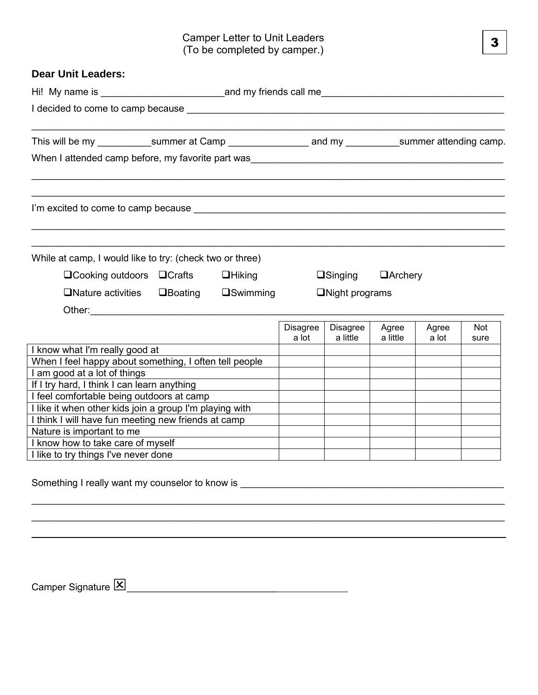| <b>Dear Unit Leaders:</b>                                                                                                                                                                                                                                                 |  |                    |                       |                      |                   |                |             |
|---------------------------------------------------------------------------------------------------------------------------------------------------------------------------------------------------------------------------------------------------------------------------|--|--------------------|-----------------------|----------------------|-------------------|----------------|-------------|
| Hi! My name is example and my friends call me                                                                                                                                                                                                                             |  |                    |                       |                      |                   |                |             |
| I decided to come to camp because example to the control of the control of the control of the control of the control of the control of the control of the control of the control of the control of the control of the control                                             |  |                    |                       |                      |                   |                |             |
|                                                                                                                                                                                                                                                                           |  |                    |                       |                      |                   |                |             |
|                                                                                                                                                                                                                                                                           |  |                    |                       |                      |                   |                |             |
|                                                                                                                                                                                                                                                                           |  |                    |                       |                      |                   |                |             |
| While at camp, I would like to try: (check two or three)<br>$\Box$ Cooking outdoors $\Box$ Crafts                                                                                                                                                                         |  | $\Box$ Hiking      |                       | $\Box$ Singing       | $\Box$ Archery    |                |             |
| $\Box$ Nature activities $\Box$ Boating<br>Other: the contract of the contract of the contract of the contract of the contract of the contract of the contract of the contract of the contract of the contract of the contract of the contract of the contract of the con |  | $\square$ Swimming | $\Box$ Night programs |                      |                   |                |             |
|                                                                                                                                                                                                                                                                           |  |                    | Disagree<br>a lot     | Disagree<br>a little | Agree<br>a little | Agree<br>a lot | Not<br>sure |
| I know what I'm really good at<br>When I feel happy about something, I often tell people<br>I am good at a lot of things<br>If I try hard, I think I can learn anything                                                                                                   |  |                    |                       |                      |                   |                |             |
| I feel comfortable being outdoors at camp<br>I like it when other kids join a group I'm playing with                                                                                                                                                                      |  |                    |                       |                      |                   |                |             |
| I think I will have fun meeting new friends at camp                                                                                                                                                                                                                       |  |                    |                       |                      |                   |                |             |
| Nature is important to me                                                                                                                                                                                                                                                 |  |                    |                       |                      |                   |                |             |
| I know how to take care of myself                                                                                                                                                                                                                                         |  |                    |                       |                      |                   |                |             |
| I like to try things I've never done                                                                                                                                                                                                                                      |  |                    |                       |                      |                   |                |             |
|                                                                                                                                                                                                                                                                           |  |                    |                       |                      |                   |                |             |

 $\_$  ,  $\_$  ,  $\_$  ,  $\_$  ,  $\_$  ,  $\_$  ,  $\_$  ,  $\_$  ,  $\_$  ,  $\_$  ,  $\_$  ,  $\_$  ,  $\_$  ,  $\_$  ,  $\_$  ,  $\_$  ,  $\_$  ,  $\_$  ,  $\_$  ,  $\_$  ,  $\_$  ,  $\_$  ,  $\_$  ,  $\_$  ,  $\_$  ,  $\_$  ,  $\_$  ,  $\_$  ,  $\_$  ,  $\_$  ,  $\_$  ,  $\_$  ,  $\_$  ,  $\_$  ,  $\_$  ,  $\_$  ,  $\_$  ,

Something I really want my counselor to know is \_\_\_\_\_\_\_\_\_\_\_\_\_\_\_\_\_\_\_\_\_\_\_\_\_\_\_\_\_\_\_\_\_

 $\text{Camper Signature} \boxed{\text{X}}$